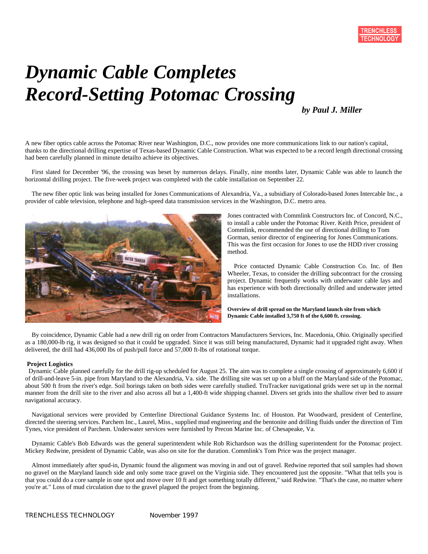# *Dynamic Cable Completes Record-Setting Potomac Crossing*

*by Paul J. Miller*

A new fiber optics cable across the Potomac River near Washington, D.C., now provides one more communications link to our nation's capital, thanks to the directional drilling expertise of Texas-based Dynamic Cable Construction. What was expected to be a record length directional crossing had been carefully planned in minute detailto achieve its objectives.

First slated for December '96, the crossing was beset by numerous delays. Finally, nine months later, Dynamic Cable was able to launch the horizontal drilling project. The five-week project was completed with the cable installation on September 22.

The new fiber optic link was being installed for Jones Communications of Alexandria, Va., a subsidiary of Colorado-based Jones Intercable Inc., a provider of cable television, telephone and high-speed data transmission services in the Washington, D.C. metro area.



Jones contracted with Commlink Constructors Inc. of Concord, N.C., to install a cable under the Potomac River. Keith Price, president of Commlink, recommended the use of directional drilling to Tom Gorman, senior director of engineering for Jones Communications. This was the first occasion for Jones to use the HDD river crossing method.

Price contacted Dynamic Cable Construction Co. Inc. of Ben Wheeler, Texas, to consider the drilling subcontract for the crossing project. Dynamic frequently works with underwater cable lays and has experience with both directionally drilled and underwater jetted installations.

**Overview of drill spread on the Maryland launch site from which Dynamic Cable installed 3,750 ft of the 6,600 ft. crossing.**

By coincidence, Dynamic Cable had a new drill rig on order from Contractors Manufacturers Services, Inc. Macedonia, Ohio. Originally specified as a 180,000-lb rig, it was designed so that it could be upgraded. Since it was still being manufactured, Dynamic had it upgraded right away. When delivered, the drill had 436,000 lbs of push/pull force and 57,000 ft-lbs of rotational torque.

## **Project Logistics**

Dynamic Cable planned carefully for the drill rig-up scheduled for August 25. The aim was to complete a single crossing of approximately 6,600 if of drill-and-leave 5-in. pipe from Maryland to the Alexandria, Va. side. The drilling site was set up on a bluff on the Maryland side of the Potomac, about 500 ft from the river's edge. Soil borings taken on both sides were carefully studied. TruTracker navigational grids were set up in the normal manner from the drill site to the river and also across all but a 1,400-ft wide shipping channel. Divers set grids into the shallow river bed to assure navigational accuracy.

Navigational services were provided by Centerline Directional Guidance Systems Inc. of Houston. Pat Woodward, president of Centerline, directed the steering services. Parchem Inc., Laurel, Miss., supplied mud engineering and the bentonite and drilling fluids under the direction of Tim Tynes, vice president of Parchem. Underwater services were furnished by Precon Marine Inc. of Chesapeake, Va.

Dynamic Cable's Bob Edwards was the general superintendent while Rob Richardson was the drilling superintendent for the Potomac project. Mickey Redwine, president of Dynamic Cable, was also on site for the duration. Commlink's Tom Price was the project manager.

Almost immediately after spud-in, Dynamic found the alignment was moving in and out of gravel. Redwine reported that soil samples had shown no gravel on the Maryland launch side and only some trace gravel on the Virginia side. They encountered just the opposite. "What that tells you is that you could do a core sample in one spot and move over 10 ft and get something totally different," said Redwine. "That's the case, no matter where you're at." Loss of mud circulation due to the gravel plagued the project from the beginning.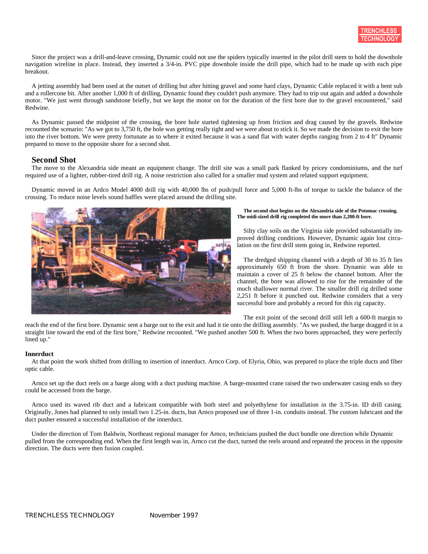Since the project was a drill-and-leave crossing, Dynamic could not use the spiders typically inserted in the pilot drill stem to hold the downhole navigation wireline in place. Instead, they inserted a 3/4-in. PVC pipe downhole inside the drill pipe, which had to be made up with each pipe breakout.

A jetting assembly had been used at the outset of drilling but after hitting gravel and some hard clays, Dynamic Cable replaced it with a bent sub and a rollercone bit. After another 1,000 ft of drilling, Dynamic found they couldn't push anymore. They had to trip out again and added a downhole motor. "We just went through sandstone briefly, but we kept the motor on for the duration of the first bore due to the gravel encountered," said Redwine.

As Dynamic passed the midpoint of the crossing, the bore hole started tightening up from friction and drag caused by the gravels. Redwine recounted the scenario: "As we got to 3,750 ft, the hole was getting really tight and we were about to stick it. So we made the decision to exit the bore into the river bottom. We were pretty fortunate as to where it exited because it was a sand flat with water depths ranging from 2 to 4 ft" Dynamic prepared to move to the opposite shore for a second shot.

# **Second Shot**

The move to the Alexandria side meant an equipment change. The drill site was a small park flanked by pricey condominiums, and the turf required use of a lighter, rubber-tired drill rig. A noise restriction also called for a smaller mud system and related support equipment.

Dynamic moved in an Ardco Model 4000 drill rig with 40,000 lbs of push/pull force and 5,000 ft-lbs of torque to tackle the balance of the crossing. To reduce noise levels sound baffles were placed around the drilling site.



#### **The second shot begins on the Alexandria side of the Potomac crossing. The midi-sized drill rig completed the more than 2,200-ft bore.**

Silty clay soils on the Virginia side provided substantially improved drilling conditions. However, Dynamic again lost circulation on the first drill stem going in, Redwine reported.

The dredged shipping channel with a depth of 30 to 35 ft lies approximately 650 ft from the shore. Dynamic was able to maintain a cover of 25 ft below the channel bottom. After the channel, the bore was allowed to rise for the remainder of the much shallower normal river. The smaller drill rig drilled some 2,251 ft before it punched out. Redwine considers that a very successful bore and probably a record for this rig capacity.

The exit point of the second drill still left a 600-ft margin to reach the end of the first bore. Dynamic sent a barge out to the exit and had it tie onto the drilling assembly. "As we pushed, the barge dragged it in a straight line toward the end of the first bore," Redwine recounted. "We pushed another 500 ft. When the two bores approached, they were perfectly lined up."

## **Innerduct**

At that point the work shifted from drilling to insertion of innerduct. Arnco Corp. of Elyria, Ohio, was prepared to place the triple ducts and fiber optic cable.

Arnco set up the duct reels on a barge along with a duct pushing machine. A barge-mounted crane raised the two underwater casing ends so they could be accessed from the barge.

Arnco used its waved rib duct and a lubricant compatible with both steel and polyethylene for installation in the 3.75-in. ID drill casing. Originally, Jones had planned to only install two 1.25-in. ducts, but Arnco proposed use of three 1-in. conduits instead. The custom lubricant and the duct pusher ensured a successful installation of the innerduct.

Under the direction of Tom Baldwin, Northeast regional manager for Arnco, technicians pushed the duct bundle one direction while Dynamic pulled from the corresponding end. When the first length was in, Arnco cut the duct, turned the reels around and repeated the process in the opposite direction. The ducts were then fusion coupled.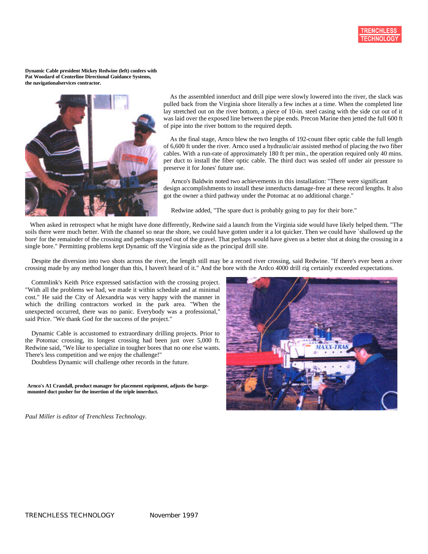

**Dynamic Cable president Mickey Redwine (left) confers with Pat Woodard of Centerline Directional Guidance Systems, the navigationalservices contractor.**



As the assembled innerduct and drill pipe were slowly lowered into the river, the slack was pulled back from the Virginia shore literally a few inches at a time. When the completed line lay stretched out on the river bottom, a piece of 10-in. steel casing with the side cut out of it was laid over the exposed line between the pipe ends. Precon Marine then jetted the full 600 ft of pipe into the river bottom to the required depth.

As the final stage, Arnco blew the two lengths of 192-count fiber optic cable the full length of 6,600 ft under the river. Arnco used a hydraulic/air assisted method of placing the two fiber cables. With a run-rate of approximately 180 ft per min., the operation required only 40 mins. per duct to install the fiber optic cable. The third duct was sealed off under air pressure to preserve it for Jones' future use.

Arnco's Baldwin noted two achievements in this installation: "There were significant design accomplishments to install these innerducts damage-free at these record lengths. It also got the owner a third pathway under the Potomac at no additional charge."

Redwine added, "The spare duct is probably going to pay for their bore."

When asked in retrospect what he might have done differently, Redwine said a launch from the Virginia side would have likely helped them. "The soils there were much better. With the channel so near the shore, we could have gotten under it a lot quicker. Then we could have `shallowed up the bore' for the remainder of the crossing and perhaps stayed out of the gravel. That perhaps would have given us a better shot at doing the crossing in a single bore." Permitting problems kept Dynamic off the Virginia side as the principal drill site.

Despite the diversion into two shots across the river, the length still may be a record river crossing, said Redwine. "If there's ever been a river crossing made by any method longer than this, I haven't heard of it." And the bore with the Ardco 4000 drill rig certainly exceeded expectations.

Commlink's Keith Price expressed satisfaction with the crossing project. "With all the problems we had, we made it within schedule and at minimal cost." He said the City of Alexandria was very happy with the manner in which the drilling contractors worked in the park area. "When the unexpected occurred, there was no panic. Everybody was a professional," said Price. "We thank God for the success of the project."

Dynamic Cable is accustomed to extraordinary drilling projects. Prior to the Potomac crossing, its longest crossing had been just over 5,000 ft. Redwine said, "We like to specialize in tougher bores that no one else wants. There's less competition and we enjoy the challenge!"

Doubtless Dynamic will challenge other records in the future.

**Arnco's A1 Crandall, product manager for placement equipment, adjusts the bargemounted duct pusher for the insertion of the triple innerduct.**

*Paul Miller is editor of Trenchless Technology.*